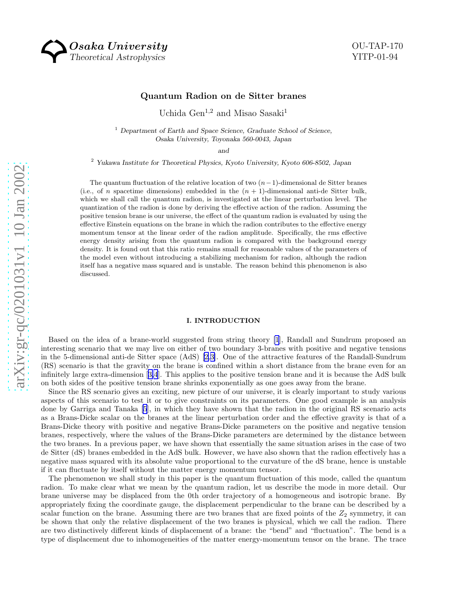Osaka University Theoretical Astrophysics

# Quantum Radion on de Sitter branes

Uchida Gen<sup>1,2</sup> and Misao Sasaki<sup>1</sup>

 $<sup>1</sup>$  Department of Earth and Space Science, Graduate School of Science,</sup> Osaka University, Toyonaka 560-0043, Japan

and

<sup>2</sup> Yukawa Institute for Theoretical Physics, Kyoto University, Kyoto 606-8502, Japan

The quantum fluctuation of the relative location of two  $(n-1)$ -dimensional de Sitter branes (i.e., of *n* spacetime dimensions) embedded in the  $(n + 1)$ -dimensional anti-de Sitter bulk, which we shall call the quantum radion, is investigated at the linear perturbation level. The quantization of the radion is done by deriving the effective action of the radion. Assuming the positive tension brane is our universe, the effect of the quantum radion is evaluated by using the effective Einstein equations on the brane in which the radion contributes to the effective energy momentum tensor at the linear order of the radion amplitude. Specifically, the rms effective energy density arising from the quantum radion is compared with the background energy density. It is found out that this ratio remains small for reasonable values of the parameters of the model even without introducing a stabilizing mechanism for radion, although the radion itself has a negative mass squared and is unstable. The reason behind this phenomenon is also discussed.

# I. INTRODUCTION

Based on the idea of a brane-world suggested from string theory [\[1](#page-16-0)], Randall and Sundrum proposed an interesting scenario that we may live on either of two boundary 3-branes with positive and negative tensions in the 5-dimensional anti-de Sitter space (AdS)[[2,3\]](#page-16-0). One of the attractive features of the Randall-Sundrum (RS) scenario is that the gravity on the brane is confined within a short distance from the brane even for an infinitely large extra-dimension[[3,4](#page-16-0)]. This applies to the positive tension brane and it is because the AdS bulk on both sides of the positive tension brane shrinks exponentially as one goes away from the brane.

Since the RS scenario gives an exciting, new picture of our universe, it is clearly important to study various aspects of this scenario to test it or to give constraints on its parameters. One good example is an analysis done by Garriga and Tanaka [\[5](#page-16-0)], in which they have shown that the radion in the original RS scenario acts as a Brans-Dicke scalar on the branes at the linear perturbation order and the effective gravity is that of a Brans-Dicke theory with positive and negative Brans-Dicke parameters on the positive and negative tension branes, respectively, where the values of the Brans-Dicke parameters are determined by the distance between the two branes. In a previous paper, we have shown that essentially the same situation arises in the case of two de Sitter (dS) branes embedded in the AdS bulk. However, we have also shown that the radion effectively has a negative mass squared with its absolute value proportional to the curvature of the dS brane, hence is unstable if it can fluctuate by itself without the matter energy momentum tensor.

The phenomenon we shall study in this paper is the quantum fluctuation of this mode, called the quantum radion. To make clear what we mean by the quantum radion, let us describe the mode in more detail. Our brane universe may be displaced from the 0th order trajectory of a homogeneous and isotropic brane. By appropriately fixing the coordinate gauge, the displacement perpendicular to the brane can be described by a scalar function on the brane. Assuming there are two branes that are fixed points of the  $Z_2$  symmetry, it can be shown that only the relative displacement of the two branes is physical, which we call the radion. There are two distinctively different kinds of displacement of a brane: the "bend" and "fluctuation". The bend is a type of displacement due to inhomogeneities of the matter energy-momentum tensor on the brane. The trace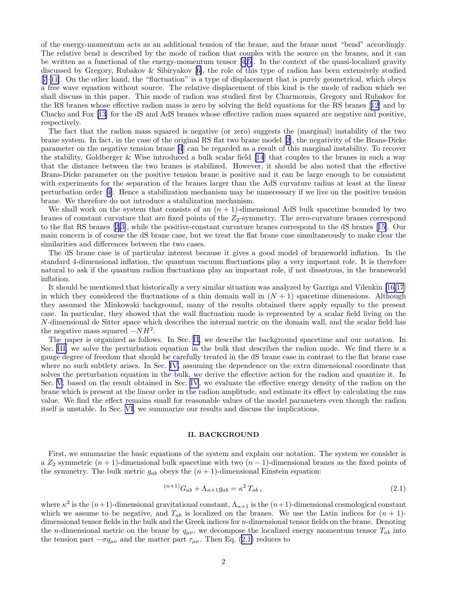<span id="page-1-0"></span>of the energy-momentum acts as an additional tension of the brane, and the brane must "bend" accordingly. The relative bend is described by the mode of radion that couples with the source on the branes, and it can be written as a functional of the energy-momentum tensor[[4,5\]](#page-16-0). In the context of the quasi-localized gravity discussed by Gregory, Rubakov & Sibiryakov[[6\]](#page-16-0), the role of this type of radion has been extensively studied [[7–11\]](#page-16-0). On the other hand, the "fluctuation" is a type of displacement that is purely geometrical, which obeys a free wave equation without source. The relative displacement of this kind is the mode of radion which we shall discuss in this paper. This mode of radion was studied first by Charmousis, Gregory and Rubakov for the RS branes whose effective radion mass is zero by solving the field equations for the RS branes[[12\]](#page-16-0) and by Chacko and Fox[[13](#page-16-0)] for the dS and AdS branes whose effective radion mass squared are negative and positive, respectively.

The fact that the radion mass squared is negative (or zero) suggests the (marginal) instability of the two brane system. In fact, in the case of the original RS flat two brane model[[2\]](#page-16-0), the negativity of the Brans-Dicke parameter on the negative tension brane [\[4](#page-16-0)] can be regarded as a result of this marginal instability. To recover the stability, Goldberger & Wise introduced a bulk scalar field [\[14](#page-16-0)] that couples to the branes in such a way that the distance between the two branes is stabilized. However, it should be also noted that the effective Brans-Dicke parameter on the positive tension brane is positive and it can be large enough to be consistent with experiments for the separation of the branes larger than the AdS curvature radius at least at the linear perturbation order[[4\]](#page-16-0). Hence a stabilization mechanism may be unnecessary if we live on the positive tension brane. We therefore do not introduce a stabilization mechanism.

We shall work on the system that consists of an  $(n + 1)$ -dimensional AdS bulk spacetime bounded by two branes of constant curvature that are fixed points of the  $Z_2$ -symmetry. The zero-curvature branes correspond to the flat RS branes[[2,3\]](#page-16-0), while the positive-constant curvature branes correspond to the dS branes[[15\]](#page-16-0). Our main concern is of course the dS brane case, but we treat the flat brane case simultaneously to make clear the similarities and differences between the two cases.

The dS brane case is of particular interest because it gives a good model of braneworld inflation. In the standard 4-dimensional inflation, the quantum vacuum fluctuations play a very important role. It is therefore natural to ask if the quantum radion fluctuations play an important role, if not disastrous, in the braneworld inflation.

It should be mentioned that historically a very similar situation was analyzed by Garriga and Vilenkin [\[16,17](#page-16-0)] in which they considered the fluctuations of a thin domain wall in  $(N + 1)$  spacetime dimensions. Although they assumed the Minkowski background, many of the results obtained there apply equally to the present case. In particular, they showed that the wall fluctuation mode is represented by a scalar field living on the N-dimensional de Sitter space which describes the internal metric on the domain wall, and the scalar field has the negative mass squared  $-NH^2$ .

The paper is organized as follows. In Sec. II, we describe the background spacetime and our notation. In Sec. [III,](#page-2-0) we solve the perturbation equation in the bulk that describes the radion mode. We find there is a gauge degree of freedom that should be carefully treated in the dS brane case in contrast to the flat brane case where no such subtlety arises. In Sec. [IV,](#page-5-0) assuming the dependence on the extra dimensional coordinate that solves the perturbation equation in the bulk, we derive the effective action for the radion and quantize it. In Sec. [V](#page-8-0), based on the result obtained in Sec. [IV](#page-5-0), we evaluate the effective energy density of the radion on the brane which is present at the linear order in the radion amplitude, and estimate its effect by calculating the rms value. We find the effect remains small for reasonable values of the model parameters even though the radion itself is unstable. In Sec. [VI,](#page-9-0) we summarize our results and discuss the implications.

#### II. BACKGROUND

First, we summarize the basic equations of the system and explain our notation. The system we consider is a  $Z_2$  symmetric  $(n + 1)$ -dimensional bulk spacetime with two  $(n - 1)$ -dimensional branes as the fixed points of the symmetry. The bulk metric  $g_{ab}$  obeys the  $(n + 1)$ -dimensional Einstein equation:

$$
^{(n+1)}G_{ab} + \Lambda_{n+1}g_{ab} = \kappa^2 T_{ab} \,, \tag{2.1}
$$

where  $\kappa^2$  is the  $(n+1)$ -dimensional gravitational constant,  $\Lambda_{n+1}$  is the  $(n+1)$ -dimensional cosmological constant which we assume to be negative, and  $T_{ab}$  is localized on the branes. We use the Latin indices for  $(n + 1)$ dimensional tensor fields in the bulk and the Greek indices for n-dimensional tensor fields on the brane. Denoting the n-dimensional metric on the brane by  $q_{\mu\nu}$ , we decompose the localized energy momentum tensor  $T_{ab}$  into the tension part  $-\sigma q_{\mu\nu}$  and the matter part  $\tau_{\mu\nu}$ . Then Eq. (2.1) reduces to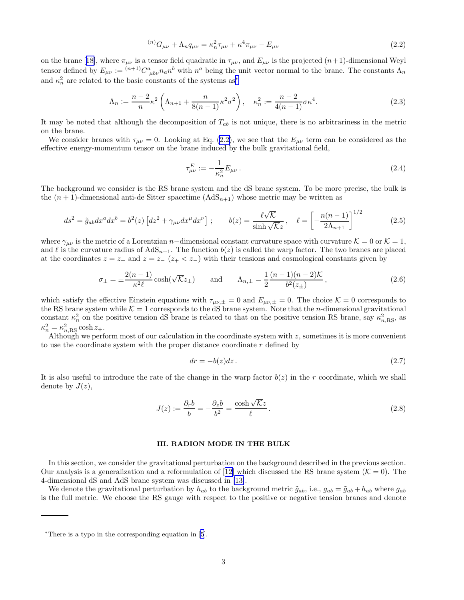$$
{}^{(n)}G_{\mu\nu} + \Lambda_n q_{\mu\nu} = \kappa_n^2 \tau_{\mu\nu} + \kappa^4 \tau_{\mu\nu} - E_{\mu\nu}
$$
\n(2.2)

<span id="page-2-0"></span>onthe brane [[18\]](#page-16-0), where  $\pi_{\mu\nu}$  is a tensor field quadratic in  $\tau_{\mu\nu}$ , and  $E_{\mu\nu}$  is the projected  $(n+1)$ -dimensional Weyl tensor defined by  $E_{\mu\nu} := {}^{(n+1)}C^a_{\mu b\nu}n_a n^b$  with  $n^a$  being the unit vector normal to the brane. The constants  $\Lambda_n$ and  $\kappa_n^2$  are related to the basic constants of the systems as<sup>\*</sup>

$$
\Lambda_n := \frac{n-2}{n} \kappa^2 \left( \Lambda_{n+1} + \frac{n}{8(n-1)} \kappa^2 \sigma^2 \right), \quad \kappa_n^2 := \frac{n-2}{4(n-1)} \sigma \kappa^4. \tag{2.3}
$$

It may be noted that although the decomposition of  $T_{ab}$  is not unique, there is no arbitrariness in the metric on the brane.

We consider branes with  $\tau_{\mu\nu} = 0$ . Looking at Eq. (2.2), we see that the  $E_{\mu\nu}$  term can be considered as the effective energy-momentum tensor on the brane induced by the bulk gravitational field,

$$
\tau_{\mu\nu}^{E} := -\frac{1}{\kappa_n^2} E_{\mu\nu} \,. \tag{2.4}
$$

The background we consider is the RS brane system and the dS brane system. To be more precise, the bulk is the  $(n+1)$ -dimensional anti-de Sitter spacetime  $(AdS_{n+1})$  whose metric may be written as

$$
ds^2 = \tilde{g}_{ab}dx^a dx^b = b^2(z) \left[ dz^2 + \gamma_{\mu\nu} dx^{\mu} dx^{\nu} \right]; \qquad b(z) = \frac{\ell \sqrt{\mathcal{K}}}{\sinh \sqrt{\mathcal{K}} z}, \quad \ell = \left[ -\frac{n(n-1)}{2\Lambda_{n+1}} \right]^{1/2} \tag{2.5}
$$

where  $\gamma_{\mu\nu}$  is the metric of a Lorentzian n–dimensional constant curvature space with curvature K = 0 or K = 1, and  $\ell$  is the curvature radius of  $AdS_{n+1}$ . The function  $b(z)$  is called the warp factor. The two branes are placed at the coordinates  $z = z_+$  and  $z = z_-$  ( $z_+ < z_-$ ) with their tensions and cosmological constants given by

$$
\sigma_{\pm} = \pm \frac{2(n-1)}{\kappa^2 \ell} \cosh(\sqrt{\mathcal{K}} z_{\pm}) \quad \text{and} \quad \Lambda_{n,\pm} = \frac{1}{2} \frac{(n-1)(n-2)\mathcal{K}}{b^2(z_{\pm})},\tag{2.6}
$$

which satisfy the effective Einstein equations with  $\tau_{\mu\nu,\pm} = 0$  and  $E_{\mu\nu,\pm} = 0$ . The choice  $\mathcal{K} = 0$  corresponds to the RS brane system while  $\mathcal{K} = 1$  corresponds to the dS brane system. Note that the *n*-dimensional gravitational constant  $\kappa_n^2$  on the positive tension dS brane is related to that on the positive tension RS brane, say  $\kappa_{n,\text{RS}}^2$ , as  $\kappa_n^2 = \kappa_{n,\mathrm{RS}}^2 \cosh z_+.$ 

Although we perform most of our calculation in the coordinate system with  $z$ , sometimes it is more convenient to use the coordinate system with the proper distance coordinate  $r$  defined by

$$
dr = -b(z)dz. \tag{2.7}
$$

It is also useful to introduce the rate of the change in the warp factor  $b(z)$  in the r coordinate, which we shall denote by  $J(z)$ ,

$$
J(z) := \frac{\partial_r b}{b} = -\frac{\partial_z b}{b^2} = \frac{\cosh\sqrt{\mathcal{K}}z}{\ell}.
$$
\n(2.8)

#### III. RADION MODE IN THE BULK

In this section, we consider the gravitational perturbation on the background described in the previous section. Ouranalysis is a generalization and a reformulation of [[12\]](#page-16-0) which discussed the RS brane system ( $K = 0$ ). The 4-dimensional dS and AdS brane system was discussed in [\[13\]](#page-16-0).

We denote the gravitational perturbation by  $h_{ab}$  to the background metric  $\tilde{g}_{ab}$ , i.e.,  $g_{ab} = \tilde{g}_{ab} + h_{ab}$  where  $g_{ab}$ is the full metric. We choose the RS gauge with respect to the positive or negative tension branes and denote

<sup>∗</sup>There is a typo in the corresponding equation in[[5](#page-16-0)].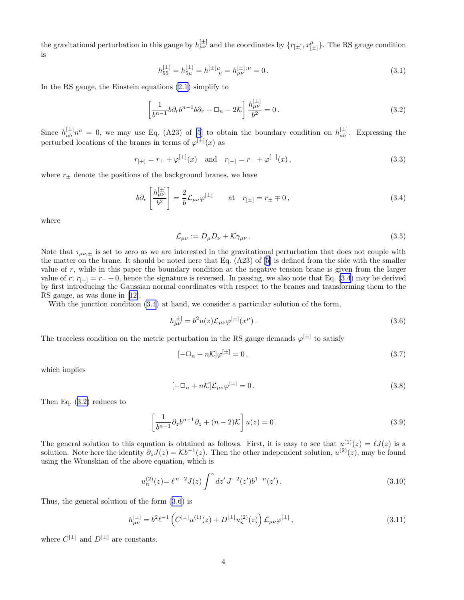<span id="page-3-0"></span>the gravitational perturbation in this gauge by  $h_{\mu\nu}^{[\pm]}$  and the coordinates by  $\{r_{[\pm]}, x_{[\pm}^{\mu]}$  $^{\mu}_{[\pm]}$ }. The RS gauge condition is

$$
h_{55}^{[\pm]} = h_{5\mu}^{[\pm]} = h_{\mu}^{[\pm]\mu} = h_{\mu\nu}^{[\pm];\nu} = 0.
$$
\n(3.1)

In the RS gauge, the Einstein equations [\(2.1](#page-1-0)) simplify to

$$
\left[\frac{1}{b^{n-1}}b\partial_r b^{n-1}b\partial_r + \Box_n - 2\mathcal{K}\right]\frac{h_{\mu\nu}^{[\pm]}}{b^2} = 0.
$$
\n(3.2)

Since  $h_{ab}^{[\pm]}n^a = 0$ , we may use Eq. (A23) of [\[5](#page-16-0)] to obtain the boundary condition on  $h_{ab}^{[\pm]}$ . Expressing the perturbed locations of the branes in terms of  $\varphi^{[\pm]}(x)$  as

$$
r_{[+]} = r_+ + \varphi^{[+]}(x)
$$
 and  $r_{[-]} = r_- + \varphi^{[-]}(x)$ , (3.3)

where  $r_{\pm}$  denote the positions of the background branes, we have

$$
b\partial_r \left[ \frac{h_{\mu\nu}^{[\pm]}}{b^2} \right] = \frac{2}{b} \mathcal{L}_{\mu\nu} \varphi^{[\pm]} \qquad \text{at} \quad r_{[\pm]} = r_{\pm} \mp 0 \,, \tag{3.4}
$$

where

$$
\mathcal{L}_{\mu\nu} := D_{\mu} D_{\nu} + \mathcal{K} \gamma_{\mu\nu} \,. \tag{3.5}
$$

Note that  $\tau_{\mu\nu,\pm}$  is set to zero as we are interested in the gravitational perturbation that does not couple with the matter on the brane. It should be noted here that Eq. (A23) of[[5\]](#page-16-0) is defined from the side with the smaller value of r, while in this paper the boundary condition at the negative tension brane is given from the larger value of r;  $r_{[-]} = r_- + 0$ , hence the signature is reversed. In passing, we also note that Eq. (3.4) may be derived by first introducing the Gaussian normal coordinates with respect to the branes and transforming them to the RS gauge, as was done in[[12\]](#page-16-0).

With the junction condition  $(3.4)$  at hand, we consider a particular solution of the form,

$$
h_{\mu\nu}^{[\pm]} = b^2 u(z) \mathcal{L}_{\mu\nu} \varphi^{[\pm]}(x^{\mu}). \tag{3.6}
$$

The traceless condition on the metric perturbation in the RS gauge demands  $\varphi^{[\pm]}$  to satisfy

$$
[-\Box_n - n\mathcal{K}]\varphi^{[\pm]} = 0,\tag{3.7}
$$

which implies

$$
[-\Box_n + n\mathcal{K}]\mathcal{L}_{\mu\nu}\varphi^{[\pm]} = 0. \tag{3.8}
$$

Then Eq. (3.2) reduces to

$$
\left[\frac{1}{b^{n-1}}\partial_z b^{n-1}\partial_z + (n-2)\mathcal{K}\right]u(z) = 0.
$$
\n(3.9)

The general solution to this equation is obtained as follows. First, it is easy to see that  $u^{(1)}(z) = \ell J(z)$  is a solution. Note here the identity  $\partial_z J(z) = \mathcal{K}b^{-1}(z)$ . Then the other independent solution,  $u^{(2)}(z)$ , may be found using the Wronskian of the above equation, which is

$$
u_n^{(2)}(z) = \ell^{n-2} J(z) \int^z dz' J^{-2}(z') b^{1-n}(z'). \qquad (3.10)
$$

Thus, the general solution of the form (3.6) is

$$
h_{\mu\nu}^{[\pm]} = b^2 \ell^{-1} \left( C^{[\pm]} u^{(1)}(z) + D^{[\pm]} u_n^{(2)}(z) \right) \mathcal{L}_{\mu\nu} \varphi^{[\pm]}, \tag{3.11}
$$

where  $C^{[\pm]}$  and  $D^{[\pm]}$  are constants.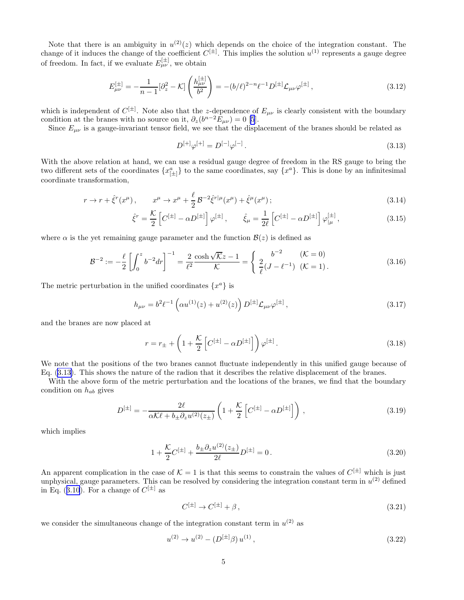<span id="page-4-0"></span>Note that there is an ambiguity in  $u^{(2)}(z)$  which depends on the choice of the integration constant. The change of it induces the change of the coefficient  $C^{[\pm]}$ . This implies the solution  $u^{(1)}$  represents a gauge degree of freedom. In fact, if we evaluate  $E_{\mu\nu}^{[\pm]}$ , we obtain

$$
E_{\mu\nu}^{[\pm]} = -\frac{1}{n-1} [\partial_z^2 - \mathcal{K}] \left( \frac{h_{\mu\nu}^{[\pm]}}{b^2} \right) = -(b/\ell)^{2-n} \ell^{-1} D^{[\pm]} \mathcal{L}_{\mu\nu} \varphi^{[\pm]}, \tag{3.12}
$$

which is independent of  $C^{[\pm]}$ . Note also that the z-dependence of  $E_{\mu\nu}$  is clearly consistent with the boundary condition at the branes with no source on it,  $\partial_z(b^{n-2}E_{\mu\nu})=0$  [\[5](#page-16-0)].

Since  $E_{\mu\nu}$  is a gauge-invariant tensor field, we see that the displacement of the branes should be related as

$$
D^{[+]} \varphi^{[+]} = D^{[-]} \varphi^{[-]}.
$$
\n(3.13)

With the above relation at hand, we can use a residual gauge degree of freedom in the RS gauge to bring the two different sets of the coordinates  $\{x_{[\pm]}^a\}$  to the same coordinates, say  $\{x^a\}$ . This is done by an infinitesimal coordinate transformation,

$$
r \to r + \hat{\xi}^r(x^{\mu}), \qquad x^{\mu} \to x^{\mu} + \frac{\ell}{2} \mathcal{B}^{-2} \hat{\xi}^{r|\mu}(x^{\mu}) + \hat{\xi}^{\mu}(x^{\mu}); \tag{3.14}
$$

$$
\hat{\xi}^r = \frac{\mathcal{K}}{2} \left[ C^{[\pm]} - \alpha D^{[\pm]} \right] \varphi^{[\pm]}, \qquad \hat{\xi}_{\mu} = \frac{1}{2\ell} \left[ C^{[\pm]} - \alpha D^{[\pm]} \right] \varphi^{[\pm]}_{|\mu}, \tag{3.15}
$$

where  $\alpha$  is the yet remaining gauge parameter and the function  $\mathcal{B}(z)$  is defined as

$$
\mathcal{B}^{-2} := -\frac{\ell}{2} \left[ \int_0^z b^{-2} dr \right]^{-1} = \frac{2}{\ell^2} \frac{\cosh \sqrt{\mathcal{K}} z - 1}{\mathcal{K}} = \begin{cases} b^{-2} & (\mathcal{K} = 0) \\ \frac{2}{\ell} (J - \ell^{-1}) & (\mathcal{K} = 1). \end{cases}
$$
(3.16)

The metric perturbation in the unified coordinates  $\{x^a\}$  is

$$
h_{\mu\nu} = b^2 \ell^{-1} \left( \alpha u^{(1)}(z) + u^{(2)}(z) \right) D^{[\pm]} \mathcal{L}_{\mu\nu} \varphi^{[\pm]} \,, \tag{3.17}
$$

and the branes are now placed at

$$
r = r_{\pm} + \left(1 + \frac{\mathcal{K}}{2} \left[ C^{[\pm]} - \alpha D^{[\pm]} \right] \right) \varphi^{[\pm]}.
$$
\n(3.18)

We note that the positions of the two branes cannot fluctuate independently in this unified gauge because of Eq. (3.13). This shows the nature of the radion that it describes the relative displacement of the branes.

With the above form of the metric perturbation and the locations of the branes, we find that the boundary condition on  $h_{ab}$  gives

$$
D^{[\pm]} = -\frac{2\ell}{\alpha \mathcal{K}\ell + b_{\pm} \partial_z u^{(2)}(z_{\pm})} \left( 1 + \frac{\mathcal{K}}{2} \left[ C^{[\pm]} - \alpha D^{[\pm]} \right] \right), \tag{3.19}
$$

which implies

$$
1 + \frac{\mathcal{K}}{2}C^{[\pm]} + \frac{b_{\pm}\partial_z u^{(2)}(z_{\pm})}{2\ell}D^{[\pm]} = 0.
$$
\n(3.20)

An apparent complication in the case of  $\mathcal{K} = 1$  is that this seems to constrain the values of  $C^{[\pm]}$  which is just unphysical, gauge parameters. This can be resolved by considering the integration constant term in  $u^{(2)}$  defined inEq. ([3.10](#page-3-0)). For a change of  $C^{[\pm]}$  as

$$
C^{[\pm]}\to C^{[\pm]}+\beta\,,\tag{3.21}
$$

we consider the simultaneous change of the integration constant term in  $u^{(2)}$  as

$$
u^{(2)} \to u^{(2)} - (D^{[\pm]} \beta) u^{(1)}, \tag{3.22}
$$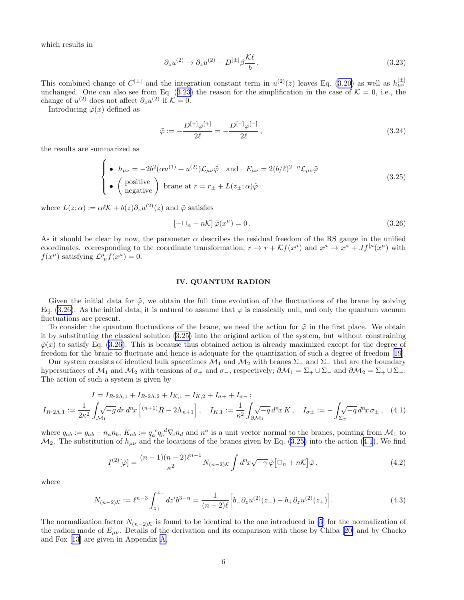<span id="page-5-0"></span>which results in

$$
\partial_z u^{(2)} \to \partial_z u^{(2)} - D^{[\pm]} \beta \frac{\mathcal{K}\ell}{b} \,. \tag{3.23}
$$

Thiscombined change of  $C^{[\pm]}$  and the integration constant term in  $u^{(2)}(z)$  leaves Eq. ([3.20\)](#page-4-0) as well as  $h_{\mu\nu}^{[\pm]}$ unchanged. One can also see from Eq.  $(3.23)$  the reason for the simplification in the case of  $\mathcal{K} = 0$ , i.e., the change of  $u^{(2)}$  does not affect  $\partial_z u^{(2)}$  if  $\mathcal{K} = 0$ .

Introducing  $\tilde{\varphi}(x)$  defined as

$$
\tilde{\varphi} := -\frac{D^{[+]}\varphi^{[+]}}{2\ell} = -\frac{D^{[-]}\varphi^{[-]}}{2\ell},\tag{3.24}
$$

the results are summarized as

$$
\begin{cases}\n\bullet \quad h_{\mu\nu} = -2b^2(\alpha u^{(1)} + u^{(2)})\mathcal{L}_{\mu\nu}\tilde{\varphi} \quad \text{and} \quad E_{\mu\nu} = 2(b/\ell)^{2-n}\mathcal{L}_{\mu\nu}\tilde{\varphi} \\
\bullet \quad \left(\begin{array}{c} \text{positive} \\ \text{negative} \end{array}\right) \text{ brane at } r = r_{\pm} + L(z_{\pm}; \alpha)\tilde{\varphi}\n\end{cases} \tag{3.25}
$$

where  $L(z; \alpha) := \alpha \ell \mathcal{K} + b(z) \partial_z u^{(2)}(z)$  and  $\tilde{\varphi}$  satisfies

$$
\left[-\Box_n - n\mathcal{K}\right]\tilde{\varphi}(x^\mu) = 0\,. \tag{3.26}
$$

As it should be clear by now, the parameter  $\alpha$  describes the residual freedom of the RS gauge in the unified coordinates. corresponding to the coordinate transformation,  $r \to r + \mathcal{K}f(x^{\mu})$  and  $x^{\mu} \to x^{\mu} + Jf^{|\mu}(x^{\mu})$  with  $f(x^{\mu})$  satisfying  $\mathcal{L}^{\mu}_{\ \mu}f(x^{\mu})=0.$ 

#### IV. QUANTUM RADION

Given the initial data for  $\tilde{\varphi}$ , we obtain the full time evolution of the fluctuations of the brane by solving Eq. (3.26). As the initial data, it is natural to assume that  $\varphi$  is classically null, and only the quantum vacuum fluctuations are present.

To consider the quantum fluctuations of the brane, we need the action for  $\tilde{\varphi}$  in the first place. We obtain it by substituting the classical solution (3.25) into the original action of the system, but without constraining  $\tilde{\varphi}(x)$  to satisfy Eq. (3.26). This is because thus obtained action is already maximized except for the degree of freedom for the brane to fluctuate and hence is adequate for the quantization of such a degree of freedom [\[19](#page-16-0)].

Our system consists of identical bulk spacetimes  $\mathcal{M}_1$  and  $\mathcal{M}_2$  with branes  $\Sigma_+$  and  $\Sigma_-$  that are the boundary hypersurfaces of  $\mathcal{M}_1$  and  $\mathcal{M}_2$  with tensions of  $\sigma_+$  and  $\sigma_-$ , respectively;  $\partial \mathcal{M}_1 = \Sigma_+ \cup \Sigma_-$  and  $\partial \mathcal{M}_2 = \Sigma_+ \cup \Sigma_-$ . The action of such a system is given by

$$
I = I_{R-2\Lambda,1} + I_{R-2\Lambda,2} + I_{K,1} - I_{K,2} + I_{\sigma+1} + I_{\sigma-};
$$
  
\n
$$
I_{R-2\Lambda,1} := \frac{1}{2\kappa^2} \int_{\mathcal{M}_1} \sqrt{-g} \, dr \, d^n x \left[ \binom{n+1}{1} R - 2\Lambda_{n+1} \right], \quad I_{K,1} := \frac{1}{\kappa^2} \int_{\partial \mathcal{M}_1} \sqrt{-g} \, d^n x \, K, \quad I_{\sigma\pm} := -\int_{\Sigma_{\pm}} \sqrt{-g} \, d^n x \, \sigma_{\pm} \,, \tag{4.1}
$$

where  $q_{ab} := g_{ab} - n_a n_b$ ,  $K_{ab} := q_a^c q_b^d \nabla_c n_d$  and  $n^a$  is a unit vector normal to the branes, pointing from  $\mathcal{M}_1$  to  $\mathcal{M}_2$ . The substitution of  $h_{\mu\nu}$  and the locations of the branes given by Eq. (3.25) into the action (4.1), We find

$$
I^{(2)}[\tilde{\varphi}] = \frac{(n-1)(n-2)\ell^{n-1}}{\kappa^2} N_{(n-2)\mathcal{K}} \int d^n x \sqrt{-\gamma} \, \tilde{\varphi} \left[\Box_n + n\mathcal{K}\right] \tilde{\varphi} \,, \tag{4.2}
$$

where

$$
N_{(n-2)K} := \ell^{n-3} \int_{z_+}^{z_-} dz' b^{3-n} = \frac{1}{(n-2)\ell} \Big[ b_- \partial_z u^{(2)}(z_-) - b_+ \partial_z u^{(2)}(z_+) \Big]. \tag{4.3}
$$

The normalization factor  $N_{(n-2)K}$  is found to be identical to the one introduced in [\[5](#page-16-0)] for the normalization of theradion mode of  $E_{\mu\nu}$ . Details of the derivation and its comparison with those by Chiba [[20\]](#page-16-0) and by Chacko and Fox [\[13](#page-16-0)] are given in Appendix [A.](#page-10-0)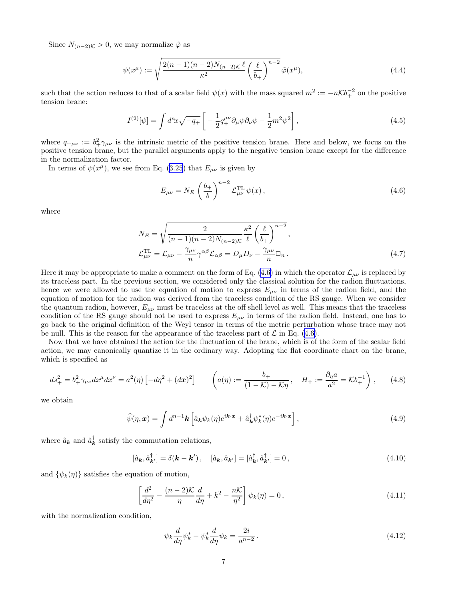<span id="page-6-0"></span>Since  $N_{(n-2)\mathcal{K}} > 0$ , we may normalize  $\tilde{\varphi}$  as

$$
\psi(x^{\mu}) := \sqrt{\frac{2(n-1)(n-2)N_{(n-2)K}\ell}{\kappa^2} \left(\frac{\ell}{b_+}\right)^{n-2}} \tilde{\varphi}(x^{\mu}),\tag{4.4}
$$

such that the action reduces to that of a scalar field  $\psi(x)$  with the mass squared  $m^2 := -n\mathcal{K}b_+^{-2}$  on the positive tension brane:

$$
I^{(2)}[\psi] = \int d^nx \sqrt{-q_+} \left[ -\frac{1}{2} q_+^{\mu\nu} \partial_\mu \psi \partial_\nu \psi - \frac{1}{2} m^2 \psi^2 \right],\tag{4.5}
$$

where  $q_{+\mu\nu} := b^2_+\gamma_{\mu\nu}$  is the intrinsic metric of the positive tension brane. Here and below, we focus on the positive tension brane, but the parallel arguments apply to the negative tension brane except for the difference in the normalization factor.

Interms of  $\psi(x^{\mu})$ , we see from Eq. ([3.25](#page-5-0)) that  $E_{\mu\nu}$  is given by

$$
E_{\mu\nu} = N_E \left(\frac{b_+}{b}\right)^{n-2} \mathcal{L}_{\mu\nu}^{\text{TL}} \psi(x) , \qquad (4.6)
$$

where

$$
N_E = \sqrt{\frac{2}{(n-1)(n-2)N_{(n-2)K}} \frac{\kappa^2}{\ell} \left(\frac{\ell}{b_+}\right)^{n-2}},
$$
  

$$
\mathcal{L}_{\mu\nu}^{\text{TL}} = \mathcal{L}_{\mu\nu} - \frac{\gamma_{\mu\nu}}{n} \gamma^{\alpha\beta} \mathcal{L}_{\alpha\beta} = D_{\mu} D_{\nu} - \frac{\gamma_{\mu\nu}}{n} \square_n.
$$
 (4.7)

Here it may be appropriate to make a comment on the form of Eq. (4.6) in which the operator  $\mathcal{L}_{\mu\nu}$  is replaced by its traceless part. In the previous section, we considered only the classical solution for the radion fluctuations, hence we were allowed to use the equation of motion to express  $E_{\mu\nu}$  in terms of the radion field, and the equation of motion for the radion was derived from the traceless condition of the RS gauge. When we consider the quantum radion, however,  $E_{\mu\nu}$  must be traceless at the off shell level as well. This means that the traceless condition of the RS gauge should not be used to express  $E_{\mu\nu}$  in terms of the radion field. Instead, one has to go back to the original definition of the Weyl tensor in terms of the metric perturbation whose trace may not be null. This is the reason for the appearance of the traceless part of  $\mathcal L$  in Eq. (4.6).

Now that we have obtained the action for the fluctuation of the brane, which is of the form of the scalar field action, we may canonically quantize it in the ordinary way. Adopting the flat coordinate chart on the brane, which is specified as

$$
ds_{+}^{2} = b_{+}^{2} \gamma_{\mu\nu} dx^{\mu} dx^{\nu} = a^{2}(\eta) \left[ -d\eta^{2} + (d\mathbf{x})^{2} \right] \qquad \left( a(\eta) := \frac{b_{+}}{(1 - \mathcal{K}) - \mathcal{K}\eta} , \quad H_{+} := \frac{\partial_{\eta} a}{a^{2}} = \mathcal{K}b_{+}^{-1} \right), \qquad (4.8)
$$

we obtain

$$
\widehat{\psi}(\eta, \mathbf{x}) = \int d^{n-1} \mathbf{k} \left[ \widehat{a}_{\mathbf{k}} \psi_k(\eta) e^{i\mathbf{k} \cdot \mathbf{x}} + \widehat{a}_{\mathbf{k}}^{\dagger} \psi_k^*(\eta) e^{-i\mathbf{k} \cdot \mathbf{x}} \right], \tag{4.9}
$$

where  $\hat{a}_{\mathbf{k}}$  and  $\hat{a}_{\mathbf{k}}^{\dagger}$  satisfy the commutation relations,

$$
[\hat{a}_{\mathbf{k}}, \hat{a}_{\mathbf{k}'}^{\dagger}] = \delta(\mathbf{k} - \mathbf{k}'), \quad [\hat{a}_{\mathbf{k}}, \hat{a}_{\mathbf{k}'}] = [\hat{a}_{\mathbf{k}}^{\dagger}, \hat{a}_{\mathbf{k}'}^{\dagger}] = 0,
$$
\n(4.10)

and  $\{\psi_k(\eta)\}\$  satisfies the equation of motion,

$$
\left[\frac{d^2}{d\eta^2} - \frac{(n-2)K}{\eta}\frac{d}{d\eta} + k^2 - \frac{nK}{\eta^2}\right]\psi_k(\eta) = 0,
$$
\n(4.11)

with the normalization condition,

$$
\psi_k \frac{d}{d\eta} \psi_k^* - \psi_k^* \frac{d}{d\eta} \psi_k = \frac{2i}{a^{n-2}}.
$$
\n(4.12)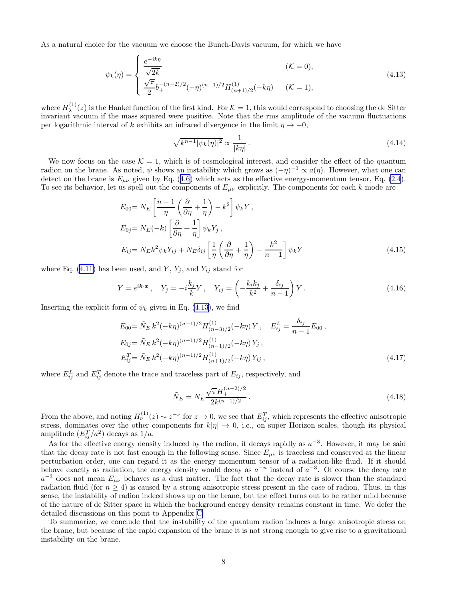<span id="page-7-0"></span>As a natural choice for the vacuum we choose the Bunch-Davis vacuum, for which we have

$$
\psi_k(\eta) = \begin{cases} \frac{e^{-ik\eta}}{\sqrt{2k}} & (\mathcal{K} = 0), \\ \frac{\sqrt{\pi}}{2} b_+^{-(n-2)/2} (-\eta)^{(n-1)/2} H_{(n+1)/2}^{(1)}(-k\eta) & (\mathcal{K} = 1), \end{cases}
$$
(4.13)

where  $H_{\lambda}^{(1)}$  $\lambda^{(1)}(z)$  is the Hankel function of the first kind. For  $\mathcal{K} = 1$ , this would correspond to choosing the de Sitter invariant vacuum if the mass squared were positive. Note that the rms amplitude of the vacuum fluctuations per logarithmic interval of k exhibits an infrared divergence in the limit  $\eta \to -0$ ,

$$
\sqrt{k^{n-1}|\psi_k(\eta)|^2} \propto \frac{1}{|k\eta|} \,. \tag{4.14}
$$

We now focus on the case  $\mathcal{K} = 1$ , which is of cosmological interest, and consider the effect of the quantum radion on the brane. As noted,  $\psi$  shows an instability which grows as  $(-\eta)^{-1} \propto a(\eta)$ . However, what one can detecton the brane is  $E_{\mu\nu}$  given by Eq. ([4.6\)](#page-6-0) which acts as the effective energy-momentum tensor, Eq. [\(2.4](#page-2-0)). To see its behavior, let us spell out the components of  $E_{\mu\nu}$  explicitly. The components for each k mode are

$$
E_{00} = N_E \left[ \frac{n-1}{\eta} \left( \frac{\partial}{\partial \eta} + \frac{1}{\eta} \right) - k^2 \right] \psi_k Y,
$$
  
\n
$$
E_{0j} = N_E(-k) \left[ \frac{\partial}{\partial \eta} + \frac{1}{\eta} \right] \psi_k Y_j,
$$
  
\n
$$
E_{ij} = N_E k^2 \psi_k Y_{ij} + N_E \delta_{ij} \left[ \frac{1}{\eta} \left( \frac{\partial}{\partial \eta} + \frac{1}{\eta} \right) - \frac{k^2}{n-1} \right] \psi_k Y
$$
\n(4.15)

whereEq. ([4.11\)](#page-6-0) has been used, and Y,  $Y_j$ , and  $Y_{ij}$  stand for

$$
Y = e^{i\mathbf{k}\cdot\mathbf{x}} , \quad Y_j = -i\frac{k_j}{k}Y , \quad Y_{ij} = \left(-\frac{k_ik_j}{k^2} + \frac{\delta_{ij}}{n-1}\right)Y . \tag{4.16}
$$

Inserting the explicit form of  $\psi_k$  given in Eq. (4.13), we find

$$
E_{00} = \tilde{N}_E \, k^2 (-k\eta)^{(n-1)/2} H_{(n-3)/2}^{(1)}(-k\eta) \, Y \, , \quad E_{ij}^L = \frac{\delta_{ij}}{n-1} E_{00} \, ,
$$
  
\n
$$
E_{0j} = \tilde{N}_E \, k^2 (-k\eta)^{(n-1)/2} H_{(n-1)/2}^{(1)}(-k\eta) \, Y_j \, ,
$$
  
\n
$$
E_{ij}^T = \tilde{N}_E \, k^2 (-k\eta)^{(n-1)/2} H_{(n+1)/2}^{(1)}(-k\eta) \, Y_{ij} \, , \tag{4.17}
$$

where  $E_{ij}^L$  and  $E_{ij}^T$  denote the trace and traceless part of  $E_{ij}$ , respectively, and

$$
\tilde{N}_E = N_E \frac{\sqrt{\pi} H_+^{(n-2)/2}}{2k^{(n-1)/2}}.
$$
\n(4.18)

From the above, and noting  $H_{\nu}^{(1)}(z) \sim z^{-\nu}$  for  $z \to 0$ , we see that  $E_{ij}^T$ , which represents the effective anisotropic stress, dominates over the other components for  $k|\eta| \to 0$ , i.e., on super Horizon scales, though its physical amplitude  $(E_{ij}^T/a^2)$  decays as  $1/a$ .

As for the effective energy density induced by the radion, it decays rapidly as  $a^{-3}$ . However, it may be said that the decay rate is not fast enough in the following sense. Since  $E_{\mu\nu}$  is traceless and conserved at the linear perturbation order, one can regard it as the energy momentum tensor of a radiation-like fluid. If it should behave exactly as radiation, the energy density would decay as  $a^{-n}$  instead of  $a^{-3}$ . Of course the decay rate  $a^{-3}$  does not mean  $E_{\mu\nu}$  behaves as a dust matter. The fact that the decay rate is slower than the standard radiation fluid (for  $n \geq 4$ ) is caused by a strong anisotropic stress present in the case of radion. Thus, in this sense, the instability of radion indeed shows up on the brane, but the effect turns out to be rather mild because of the nature of de Sitter space in which the background energy density remains constant in time. We defer the detailed discussions on this point to Appendix [C.](#page-14-0)

To summarize, we conclude that the instability of the quantum radion induces a large anisotropic stress on the brane, but because of the rapid expansion of the brane it is not strong enough to give rise to a gravitational instability on the brane.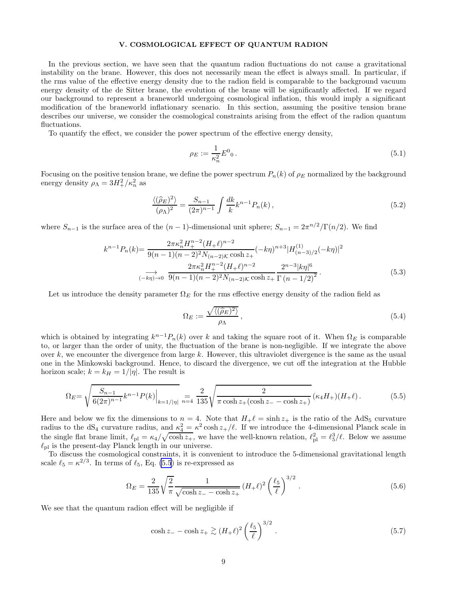#### V. COSMOLOGICAL EFFECT OF QUANTUM RADION

<span id="page-8-0"></span>In the previous section, we have seen that the quantum radion fluctuations do not cause a gravitational instability on the brane. However, this does not necessarily mean the effect is always small. In particular, if the rms value of the effective energy density due to the radion field is comparable to the background vacuum energy density of the de Sitter brane, the evolution of the brane will be significantly affected. If we regard our background to represent a braneworld undergoing cosmological inflation, this would imply a significant modification of the braneworld inflationary scenario. In this section, assuming the positive tension brane describes our universe, we consider the cosmological constraints arising from the effect of the radion quantum fluctuations.

To quantify the effect, we consider the power spectrum of the effective energy density,

$$
\rho_E := \frac{1}{\kappa_n^2} E^0_0 \,. \tag{5.1}
$$

Focusing on the positive tension brane, we define the power spectrum  $P_n(k)$  of  $\rho_E$  normalized by the background energy density  $\rho_{\Lambda} = 3H_+^2/\kappa_n^2$  as

$$
\frac{\langle (\widehat{\rho}_E)^2 \rangle}{(\rho_\Lambda)^2} = \frac{S_{n-1}}{(2\pi)^{n-1}} \int \frac{dk}{k} k^{n-1} P_n(k) , \qquad (5.2)
$$

where  $S_{n-1}$  is the surface area of the  $(n-1)$ -dimensional unit sphere;  $S_{n-1} = 2\pi^{n/2}/\Gamma(n/2)$ . We find

$$
k^{n-1}P_n(k) = \frac{2\pi\kappa_n^2 H_+^{n-2} (H_+ \ell)^{n-2}}{9(n-1)(n-2)^2 N_{(n-2)K} \cosh z_+} (-k\eta)^{n+3} |H_{(n-3)/2}^{(1)}(-k\eta)|^2
$$

$$
\xrightarrow[-k\eta)\to 0]{} \frac{2\pi\kappa_n^2 H_+^{n-2} (H_+ \ell)^{n-2}}{9(n-1)(n-2)^2 N_{(n-2)K} \cosh z_+} \frac{2^{n-3} |k\eta|^6}{\Gamma(n-1/2)^2}.
$$
(5.3)

Let us introduce the density parameter  $\Omega_E$  for the rms effective energy density of the radion field as

$$
\Omega_E := \frac{\sqrt{\langle (\hat{\rho}_E)^2 \rangle}}{\rho_\Lambda},\tag{5.4}
$$

which is obtained by integrating  $k^{n-1}P_n(k)$  over k and taking the square root of it. When  $\Omega_E$  is comparable to, or larger than the order of unity, the fluctuation of the brane is non-negligible. If we integrate the above over  $k$ , we encounter the divergence from large  $k$ . However, this ultraviolet divergence is the same as the usual one in the Minkowski background. Hence, to discard the divergence, we cut off the integration at the Hubble horizon scale;  $k = k_H = 1/|\eta|$ . The result is

$$
\Omega_E = \sqrt{\frac{S_{n-1}}{6(2\pi)^{n-1}}k^{n-1}P(k)}\Big|_{k=1/|\eta|} = \frac{2}{135}\sqrt{\frac{2}{\pi \cosh z_+(\cosh z_--\cosh z_+)}(\kappa_4 H_+)(H_+ \ell)}.
$$
(5.5)

Here and below we fix the dimensions to  $n = 4$ . Note that  $H_{+}\ell = \sinh z_{+}$  is the ratio of the AdS<sub>5</sub> curvature radius to the dS<sub>4</sub> curvature radius, and  $\kappa_4^2 = \kappa^2 \cosh z_+/\ell$ . If we introduce the 4-dimensional Planck scale in the single flat brane limit,  $\ell_{\text{pl}} = \kappa_4/\sqrt{\cosh z_+}$ , we have the well-known relation,  $\ell_{\text{pl}}^2 = \ell_5^3/\ell$ . Below we assume  $\ell_{\text{pl}}$  is the present-day Planck length in our universe.

To discuss the cosmological constraints, it is convenient to introduce the 5-dimensional gravitational length scale  $\ell_5 = \kappa^{2/3}$ . In terms of  $\ell_5$ , Eq. (5.5) is re-expressed as

$$
\Omega_E = \frac{2}{135} \sqrt{\frac{2}{\pi}} \frac{1}{\sqrt{\cosh z - \cosh z_+}} (H_+ \ell)^2 \left(\frac{\ell_5}{\ell}\right)^{3/2} . \tag{5.6}
$$

We see that the quantum radion effect will be negligible if

$$
\cosh z = -\cosh z + \gtrsim (H_{+}\ell)^{2} \left(\frac{\ell_{5}}{\ell}\right)^{3/2}.
$$
\n
$$
(5.7)
$$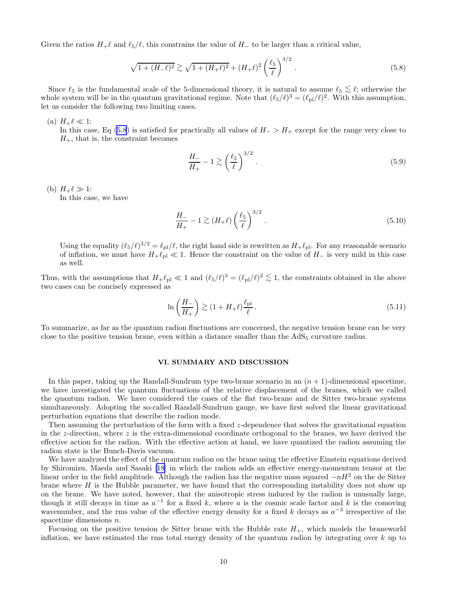<span id="page-9-0"></span>Given the ratios  $H_+ \ell$  and  $\ell_5/\ell$ , this constrains the value of  $H_-$  to be larger than a critical value,

$$
\sqrt{1 + (H_{-}\ell)^2} \gtrsim \sqrt{1 + (H_{+}\ell)^2} + (H_{+}\ell)^2 \left(\frac{\ell_5}{\ell}\right)^{3/2}.
$$
\n(5.8)

Since  $\ell_5$  is the fundamental scale of the 5-dimensional theory, it is natural to assume  $\ell_5 \lesssim \ell$ ; otherwise the whole system will be in the quantum gravitational regime. Note that  $(\ell_5/\ell)^3 = (\ell_{pl}/\ell)^2$ . With this as let us consider the following two limiting cases.

(a)  $H_+\ell \ll 1$ :

In this case, Eq (5.8) is satisfied for practically all values of  $H_$  >  $H_+$  except for the range very close to  $H_{+}$ , that is, the constraint becomes

$$
\frac{H_{-}}{H_{+}} - 1 \gtrsim \left(\frac{\ell_{5}}{\ell}\right)^{3/2}.
$$
\n
$$
(5.9)
$$

(b)  $H_+\ell \gg 1$ :

In this case, we have

$$
\frac{H_{-}}{H_{+}} - 1 \gtrsim (H_{+}\ell) \left(\frac{\ell_{5}}{\ell}\right)^{3/2}.
$$
\n
$$
(5.10)
$$

Using the equality  $(\ell_5/\ell)^{3/2} = \ell_{pl}/\ell$ , the right hand side is rewritten as  $H_+\ell_{pl}$ . For any reasonable scenario of inflation, we must have  $H_+\ell_{\text{pl}} \ll 1$ . Hence the constraint on the value of  $H_-\,$  is very mild in this case as well.

Thus, with the assumptions that  $H_{+}\ell_{\text{pl}} \ll 1$  and  $(\ell_5/\ell)^3 = (\ell_{\text{pl}}/\ell)^2 \lesssim 1$ , the constraints obtained in the above<br>two gases are be consistent expressed as two cases can be concisely expressed as

$$
\ln\left(\frac{H_{-}}{H_{+}}\right) \gtrsim (1 + H_{+}\ell) \frac{\ell_{\rm pl}}{\ell} \,. \tag{5.11}
$$

To summarize, as far as the quantum radion fluctuations are concerned, the negative tension brane can be very close to the positive tension brane, even within a distance smaller than the  $AdS<sub>5</sub>$  curvature radius.

## VI. SUMMARY AND DISCUSSION

In this paper, taking up the Randall-Sundrum type two-brane scenario in an  $(n + 1)$ -dimensional spacetime, we have investigated the quantum fluctuations of the relative displacement of the branes, which we called the quantum radion. We have considered the cases of the flat two-brane and de Sitter two-brane systems simultaneously. Adopting the so-called Randall-Sundrum gauge, we have first solved the linear gravitational perturbation equations that describe the radion mode.

Then assuming the perturbation of the form with a fixed  $z$ -dependence that solves the gravitational equation in the z-direction, where z is the extra-dimensional coordinate orthogonal to the branes, we have derived the effective action for the radion. With the effective action at hand, we have quantized the radion assuming the radion state is the Bunch-Davis vacuum.

We have analyzed the effect of the quantum radion on the brane using the effective Einstein equations derived by Shiromizu, Maeda and Sasaki [\[18](#page-16-0)] in which the radion adds an effective energy-momentum tensor at the linear order in the field amplitude. Although the radion has the negative mass squared  $-nH^2$  on the de Sitter brane where  $H$  is the Hubble parameter, we have found that the corresponding instability does not show up on the brane. We have noted, however, that the anisotropic stress induced by the radion is unusually large, though it still decays in time as  $a^{-1}$  for a fixed k, where a is the cosmic scale factor and k is the comoving wavenumber, and the rms value of the effective energy density for a fixed k decays as  $a^{-3}$  irrespective of the spacetime dimensions  $n$ .

Focusing on the positive tension de Sitter brane with the Hubble rate  $H_{+}$ , which models the braneworld inflation, we have estimated the rms total energy density of the quantum radion by integrating over  $k$  up to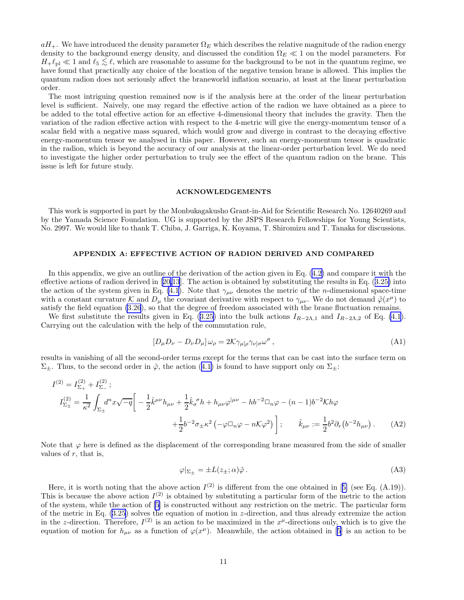<span id="page-10-0"></span> $aH_+$ . We have introduced the density parameter  $\Omega_E$  which describes the relative magnitude of the radion energy density to the background energy density, and discussed the condition  $\Omega_E \ll 1$  on the model parameters. For  $H_{+} \ell_{\text{pl}} \ll 1$  and  $\ell_5 \lesssim \ell$ , which are reasonable to assume for the background to be not in the quantum regime, we have found that programs are reasonable to assume for the positive topics the positive topics of t have found that practically any choice of the location of the negative tension brane is allowed. This implies the quantum radion does not seriously affect the braneworld inflation scenario, at least at the linear perturbation order.

The most intriguing question remained now is if the analysis here at the order of the linear perturbation level is sufficient. Naively, one may regard the effective action of the radion we have obtained as a piece to be added to the total effective action for an effective 4-dimensional theory that includes the gravity. Then the variation of the radion effective action with respect to the 4-metric will give the energy-momentum tensor of a scalar field with a negative mass squared, which would grow and diverge in contrast to the decaying effective energy-momentum tensor we analysed in this paper. However, such an energy-momentum tensor is quadratic in the radion, which is beyond the accuracy of our analysis at the linear-order perturbation level. We do need to investigate the higher order perturbation to truly see the effect of the quantum radion on the brane. This issue is left for future study.

#### ACKNOWLEDGEMENTS

This work is supported in part by the Monbukagakusho Grant-in-Aid for Scientific Research No. 12640269 and by the Yamada Science Foundation. UG is supported by the JSPS Research Fellowships for Young Scientists, No. 2997. We would like to thank T. Chiba, J. Garriga, K. Koyama, T. Shiromizu and T. Tanaka for discussions.

## APPENDIX A: EFFECTIVE ACTION OF RADION DERIVED AND COMPARED

In this appendix, we give an outline of the derivation of the action given in Eq.([4.2\)](#page-5-0) and compare it with the effective actions of radion derived in[[20,13](#page-16-0)]. The action is obtained by substituting the results in Eq.([3.25\)](#page-5-0) into the action of the system given in Eq. [\(4.1](#page-5-0)). Note that  $\gamma_{\mu\nu}$  denotes the metric of the *n*-dimensional space-time with a constant curvature K and  $D_{\mu}$  the covariant derivative with respect to  $\gamma_{\mu\nu}$ . We do not demand  $\tilde{\varphi}(x^{\mu})$  to satisfy the field equation [\(3.26](#page-5-0)), so that the degree of freedom associated with the brane fluctuation remains.

Wefirst substitute the results given in Eq. ([3.25\)](#page-5-0) into the bulk actions  $I_{R-2\Lambda,1}$  and  $I_{R-2\Lambda,2}$  of Eq. [\(4.1](#page-5-0)). Carrying out the calculation with the help of the commutation rule,

$$
[D_{\mu}D_{\nu} - D_{\nu}D_{\mu}]\,\omega_{\rho} = 2\mathcal{K}\gamma_{\mu[\rho}\gamma_{\nu]\sigma}\omega^{\sigma}\,,\tag{A1}
$$

results in vanishing of all the second-order terms except for the terms that can be cast into the surface term on  $\Sigma_{\pm}$ .Thus, to the second order in  $\tilde{\varphi}$ , the action ([4.1\)](#page-5-0) is found to have support only on  $\Sigma_{\pm}$ :

$$
I^{(2)} = I_{\Sigma_{+}}^{(2)} + I_{\Sigma_{-}}^{(2)};
$$
  
\n
$$
I_{\Sigma_{\pm}}^{(2)} = \frac{1}{\kappa^{2}} \int_{\Sigma_{\pm}} d^{n}x \sqrt{-q} \left[ -\frac{1}{2} \hat{k}^{\mu\nu} h_{\mu\nu} + \frac{1}{2} \hat{k}_{\sigma}^{\ \sigma} h + h_{\mu\nu} \varphi^{|\mu\nu} - h b^{-2} \Box_{n} \varphi - (n-1) b^{-2} K h \varphi \right. \\
\left. + \frac{1}{2} b^{-2} \sigma_{\pm} \kappa^{2} \left( -\varphi \Box_{n} \varphi - n K \varphi^{2} \right) \right]; \quad \hat{k}_{\mu\nu} := \frac{1}{2} b^{2} \partial_{r} \left( b^{-2} h_{\mu\nu} \right). \tag{A2}
$$

Note that  $\varphi$  here is defined as the displacement of the corresponding brane measured from the side of smaller values of  $r$ , that is,

$$
\varphi|_{\Sigma_{\pm}} = \pm L(z_{\pm}; \alpha)\tilde{\varphi} \,. \tag{A3}
$$

Here,it is worth noting that the above action  $I^{(2)}$  is different from the one obtained in [[5\]](#page-16-0) (see Eq. (A.19)). This is because the above action  $I^{(2)}$  is obtained by substituting a particular form of the metric to the action of the system, while the action of [\[5](#page-16-0)] is constructed without any restriction on the metric. The particular form of the metric in Eq.([3.25\)](#page-5-0) solves the equation of motion in z-direction, and thus already extremize the action in the z-direction. Therefore,  $I^{(2)}$  is an action to be maximized in the  $x^{\mu}$ -directions only, which is to give the equationof motion for  $h_{\mu\nu}$  as a function of  $\varphi(x^{\mu})$ . Meanwhile, the action obtained in [[5\]](#page-16-0) is an action to be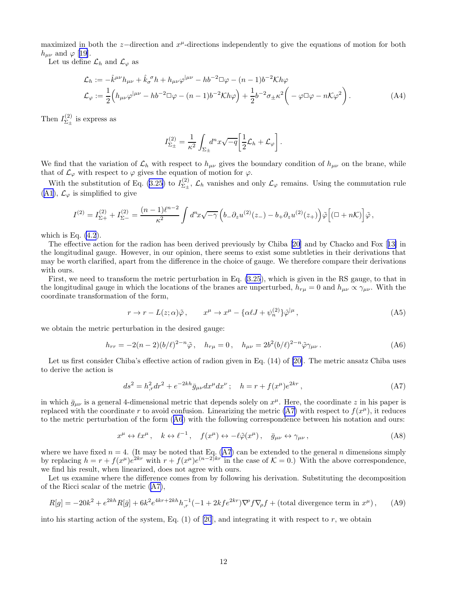<span id="page-11-0"></span>maximized in both the z-direction and  $x^{\mu}$ -directions independently to give the equations of motion for both  $h_{\mu\nu}$  and  $\varphi$  [[19\]](#page-16-0).

Let us define  $\mathcal{L}_h$  and  $\mathcal{L}_{\varphi}$  as

$$
\mathcal{L}_h := -\hat{k}^{\mu\nu}h_{\mu\nu} + \hat{k}_{\sigma}{}^{\sigma}h + h_{\mu\nu}\varphi^{|\mu\nu} - hb^{-2}\Box\varphi - (n-1)b^{-2}\mathcal{K}h\varphi
$$
\n
$$
\mathcal{L}_{\varphi} := \frac{1}{2}\Big(h_{\mu\nu}\varphi^{|\mu\nu} - hb^{-2}\Box\varphi - (n-1)b^{-2}\mathcal{K}h\varphi\Big) + \frac{1}{2}b^{-2}\sigma_{\pm}\kappa^2\Big(-\varphi\Box\varphi - n\mathcal{K}\varphi^2\Big). \tag{A4}
$$

Then  $I^{(2)}_{\Sigma \perp}$  $\sum_{\pm}^{(2)}$  is express as

$$
I_{\Sigma_{\pm}}^{(2)} = \frac{1}{\kappa^2} \int_{\Sigma_{\pm}} d^n x \sqrt{-q} \left[ \frac{1}{2} \mathcal{L}_h + \mathcal{L}_{\varphi} \right].
$$

We find that the variation of  $\mathcal{L}_h$  with respect to  $h_{\mu\nu}$  gives the boundary condition of  $h_{\mu\nu}$  on the brane, while that of  $\mathcal{L}_{\varphi}$  with respect to  $\varphi$  gives the equation of motion for  $\varphi$ .

With the substitution of Eq. [\(3.25\)](#page-5-0) to  $I_{\Sigma_{\perp}}^{(2)}$  $\sum_{\Sigma_{\pm}}^{\Sigma_{\pm}}$ ,  $\mathcal{L}_h$  vanishes and only  $\mathcal{L}_{\varphi}$  remains. Using the commutation rule ([A1](#page-10-0)),  $\mathcal{L}_{\varphi}$  is simplified to give

$$
I^{(2)} = I_{\Sigma+}^{(2)} + I_{\Sigma-}^{(2)} = \frac{(n-1)\ell^{n-2}}{\kappa^2} \int d^n x \sqrt{-\gamma} \left( b_- \partial_z u^{(2)}(z_-) - b_+ \partial_z u^{(2)}(z_+) \right) \tilde{\varphi} \left[ (\Box + n\mathcal{K}) \right] \tilde{\varphi},
$$

which is Eq.  $(4.2)$ .

The effective action for the radion has been derived previously by Chiba [\[20](#page-16-0)] and by Chacko and Fox[[13\]](#page-16-0) in the longitudinal gauge. However, in our opinion, there seems to exist some subtleties in their derivations that may be worth clarified, apart from the difference in the choice of gauge. We therefore compare their derivations with ours.

First, we need to transform the metric perturbation in Eq. [\(3.25](#page-5-0)), which is given in the RS gauge, to that in the longitudinal gauge in which the locations of the branes are unperturbed,  $h_{r\mu} = 0$  and  $h_{\mu\nu} \propto \gamma_{\mu\nu}$ . With the coordinate transformation of the form,

$$
r \to r - L(z; \alpha)\tilde{\varphi} \,, \qquad x^{\mu} \to x^{\mu} - {\alpha \ell J} + \psi_n^{(2)}\tilde{\varphi}^{|\mu} \,, \tag{A5}
$$

we obtain the metric perturbation in the desired gauge:

$$
h_{rr} = -2(n-2)(b/\ell)^{2-n}\tilde{\varphi}, \quad h_{r\mu} = 0, \quad h_{\mu\nu} = 2b^2(b/\ell)^{2-n}\tilde{\varphi}\gamma_{\mu\nu}.
$$
 (A6)

Let us first consider Chiba's effective action of radion given in Eq. (14) of [\[20\]](#page-16-0). The metric ansatz Chiba uses to derive the action is

$$
ds^{2} = h_{,r}^{2} dr^{2} + e^{-2kh} \bar{g}_{\mu\nu} dx^{\mu} dx^{\nu} ; \quad h = r + f(x^{\mu})e^{2kr} , \tag{A7}
$$

in which  $\bar{g}_{\mu\nu}$  is a general 4-dimensional metric that depends solely on  $x^{\mu}$ . Here, the coordinate z in his paper is replaced with the coordinate r to avoid confusion. Linearizing the metric (A7) with respect to  $f(x^{\mu})$ , it reduces to the metric perturbation of the form (A6) with the following correspondence between his notation and ours:

$$
x^{\mu} \leftrightarrow \ell x^{\mu}, \quad k \leftrightarrow \ell^{-1}, \quad f(x^{\mu}) \leftrightarrow -\ell \tilde{\varphi}(x^{\mu}), \quad \bar{g}_{\mu\nu} \leftrightarrow \gamma_{\mu\nu}, \tag{A8}
$$

where we have fixed  $n = 4$ . (It may be noted that Eq. (A7) can be extended to the general n dimensions simply by replacing  $h = r + f(x^{\mu})e^{2kr}$  with  $r + f(x^{\mu})e^{(n-2)kr}$  in the case of  $\mathcal{K} = 0$ .) With the above correspondence, we find his result, when linearized, does not agree with ours.

Let us examine where the difference comes from by following his derivation. Substituting the decomposition of the Ricci scalar of the metric (A7),

$$
R[g] = -20k^2 + e^{2kh}R[\bar{g}] + 6k^2e^{4kr + 2kh}h_r^{-1}(-1 + 2kf e^{2kr})\nabla^{\rho}f\nabla_{\rho}f + \text{(total divergence term in } x^{\mu}), \qquad (A9)
$$

into his starting action of the system, Eq.  $(1)$  of  $[20]$ , and integrating it with respect to r, we obtain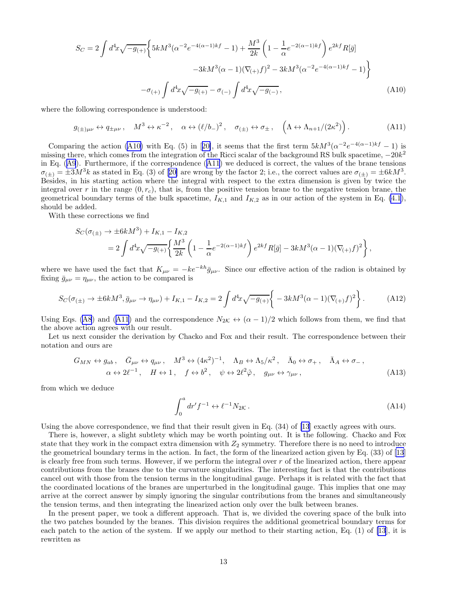$$
S_C = 2 \int d^4x \sqrt{-g_{(+)}} \left\{ 5kM^3 (\alpha^{-2} e^{-4(\alpha - 1)kf} - 1) + \frac{M^3}{2k} \left( 1 - \frac{1}{\alpha} e^{-2(\alpha - 1)kf} \right) e^{2kf} R[\bar{g}] \right\}
$$

$$
-3kM^3 (\alpha - 1)(\nabla_{(+)} f)^2 - 3kM^3 (\alpha^{-2} e^{-4(\alpha - 1)kf} - 1) \right\}
$$

$$
-\sigma_{(+)} \int d^4x \sqrt{-g_{(+)}} - \sigma_{(-)} \int d^4x \sqrt{-g_{(-)}}, \tag{A10}
$$

where the following correspondence is understood:

$$
g_{(\pm)\mu\nu} \leftrightarrow q_{\pm\mu\nu}, \quad M^3 \leftrightarrow \kappa^{-2}, \quad \alpha \leftrightarrow (\ell/b_-)^2, \quad \sigma_{(\pm)} \leftrightarrow \sigma_{\pm}, \quad \left(\Lambda \leftrightarrow \Lambda_{n+1}/(2\kappa^2)\right). \tag{A11}
$$

Comparingthe action (A10) with Eq. (5) in [[20\]](#page-16-0), it seems that the first term  $5kM^3(\alpha^{-2}e^{-4(\alpha-1)kf}-1)$  is missing there, which comes from the integration of the Ricci scalar of the background RS bulk spacetime,  $-20k^2$ in Eq.([A9](#page-11-0)). Furthermore, if the correspondence (A11) we deduced is correct, the values of the brane tensions  $\sigma_{(\pm)} = \pm 3M^3k$  $\sigma_{(\pm)} = \pm 3M^3k$  $\sigma_{(\pm)} = \pm 3M^3k$  as stated in Eq. (3) of [[20\]](#page-16-0) are wrong by the factor 2; i.e., the correct values are  $\sigma_{(\pm)} = \pm 6kM^3$ . Besides, in his starting action where the integral with respect to the extra dimension is given by twice the integral over r in the range  $(0, r_c)$ , that is, from the positive tension brane to the negative tension brane, the geometrical boundary terms of the bulk spacetime,  $I_{K,1}$  and  $I_{K,2}$  as in our action of the system in Eq. [\(4.1](#page-5-0)), should be added.

With these corrections we find

$$
S_C(\sigma_{(\pm)} \to \pm 6kM^3) + I_{K,1} - I_{K,2}
$$
  
=  $2 \int d^4x \sqrt{-g_{(\pm)}} \left\{ \frac{M^3}{2k} \left( 1 - \frac{1}{\alpha} e^{-2(\alpha - 1)kf} \right) e^{2kf} R[\bar{g}] - 3kM^3(\alpha - 1)(\nabla_{(\pm)} f)^2 \right\},$ 

where we have used the fact that  $K_{\mu\nu} = -ke^{-kh}\bar{g}_{\mu\nu}$ . Since our effective action of the radion is obtained by fixing  $\bar{g}_{\mu\nu} = \eta_{\mu\nu}$ , the action to be compared is

$$
S_C(\sigma_{(\pm)} \to \pm 6kM^3, \bar{g}_{\mu\nu} \to \eta_{\mu\nu}) + I_{K,1} - I_{K,2} = 2 \int d^4x \sqrt{-g_{(+)}} \left\{ -3kM^3(\alpha - 1)(\nabla_{(+)}f)^2 \right\}.
$$
 (A12)

UsingEqs. ([A8](#page-11-0)) and (A11) and the correspondence  $N_{2K} \leftrightarrow (\alpha - 1)/2$  which follows from them, we find that the above action agrees with our result.

Let us next consider the derivation by Chacko and Fox and their result. The correspondence between their notation and ours are

$$
G_{MN} \leftrightarrow g_{ab}, \quad \bar{G}_{\mu\nu} \leftrightarrow q_{\mu\nu}, \quad M^3 \leftrightarrow (4\kappa^2)^{-1}, \quad \Lambda_B \leftrightarrow \Lambda_5/\kappa^2, \quad \bar{\Lambda}_0 \leftrightarrow \sigma_+, \quad \bar{\Lambda}_A \leftrightarrow \sigma_-,
$$
  
\n
$$
\alpha \leftrightarrow 2\ell^{-1}, \quad H \leftrightarrow 1, \quad f \leftrightarrow b^2, \quad \psi \leftrightarrow 2\ell^2 \tilde{\varphi}, \quad g_{\mu\nu} \leftrightarrow \gamma_{\mu\nu}, \tag{A13}
$$

from which we deduce

$$
\int_0^a dr' f^{-1} \leftrightarrow \ell^{-1} N_{2\mathcal{K}} . \tag{A14}
$$

Using the above correspondence, we find that their result given in Eq. (34) of [\[13](#page-16-0)] exactly agrees with ours.

There is, however, a slight subtlety which may be worth pointing out. It is the following. Chacko and Fox state that they work in the compact extra dimension with  $Z_2$  symmetry. Therefore there is no need to introduce the geometrical boundary terms in the action. In fact, the form of the linearized action given by Eq. (33) of [\[13](#page-16-0)] is clearly free from such terms. However, if we perform the integral over  $r$  of the linearized action, there appear contributions from the branes due to the curvature singularities. The interesting fact is that the contributions cancel out with those from the tension terms in the longitudinal gauge. Perhaps it is related with the fact that the coordinated locations of the branes are unperturbed in the longitudinal gauge. This implies that one may arrive at the correct answer by simply ignoring the singular contributions from the branes and simultaneously the tension terms, and then integrating the linearized action only over the bulk between branes.

In the present paper, we took a different approach. That is, we divided the covering space of the bulk into the two patches bounded by the branes. This division requires the additional geometrical boundary terms for each patch to the action of the system. If we apply our method to their starting action, Eq. (1) of [\[13](#page-16-0)], it is rewritten as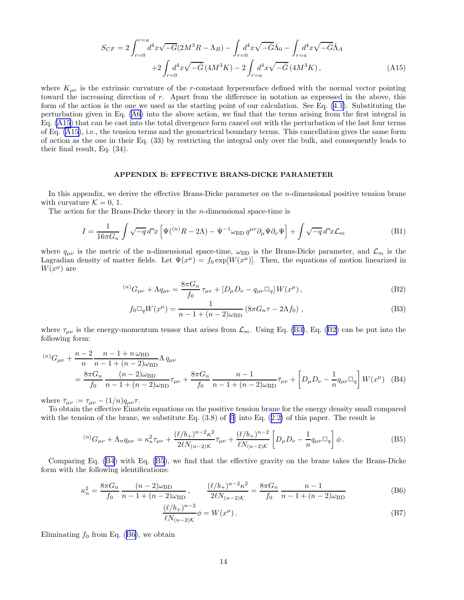$$
S_{CF} = 2 \int_{r=0}^{r=a} d^4x \sqrt{-G} (2M^3 R - \Lambda_B) - \int_{r=0} d^4x \sqrt{-\bar{G}} \bar{\Lambda}_0 - \int_{r=a} d^4x \sqrt{-\bar{G}} \bar{\Lambda}_A + 2 \int_{r=0} d^4x \sqrt{-\bar{G}} (4M^3 K) - 2 \int_{r=a} d^4x \sqrt{-\bar{G}} (4M^3 K),
$$
 (A15)

<span id="page-13-0"></span>where  $K_{\mu\nu}$  is the extrinsic curvature of the r-constant hypersurface defined with the normal vector pointing toward the increasing direction of r. Apart from the difference in notation as expressed in the above, this form of the action is the one we used as the starting point of our calculation. See Eq. [\(4.1\)](#page-5-0). Substituting the perturbation given in Eq. [\(A6\)](#page-11-0) into the above action, we find that the terms arising from the first integral in Eq. (A15) that can be cast into the total divergence form cancel out with the perturbation of the last four terms of Eq. (A15), i.e., the tension terms and the geometrical boundary terms. This cancellation gives the same form of action as the one in their Eq. (33) by restricting the integral only over the bulk, and consequently leads to their final result, Eq. (34).

# APPENDIX B: EFFECTIVE BRANS-DICKE PARAMETER

In this appendix, we derive the effective Brans-Dicke parameter on the *n*-dimensional positive tension brane with curvature  $\mathcal{K} = 0, 1$ .

The action for the Brans-Dicke theory in the n-dimensional space-time is

$$
I = \frac{1}{16\pi G_n} \int \sqrt{-q} \, d^n x \left[ \Psi(^{(n)}R - 2\Lambda) - \Psi^{-1}\omega_{\rm BD} \, q^{\mu\nu}\partial_\mu\Psi\partial_\nu\Psi \right] + \int \sqrt{-q} \, d^n x \mathcal{L}_m \tag{B1}
$$

where  $q_{\mu\nu}$  is the metric of the n-dimensional space-time,  $\omega_{BD}$  is the Brans-Dicke parameter, and  $\mathcal{L}_m$  is the Lagradian density of matter fields. Let  $\Psi(x^{\mu}) = f_0 \exp[W(x^{\mu})]$ . Then, the equations of motion linearized in  $W(x^{\mu})$  are

$$
^{(n)}G_{\mu\nu} + \Lambda q_{\mu\nu} = \frac{8\pi G_n}{f_0} \tau_{\mu\nu} + [D_\mu D_\nu - q_{\mu\nu} \square_q] W(x^\mu) , \qquad (B2)
$$

$$
f_0 \Box_q W(x^\mu) = \frac{1}{n - 1 + (n - 2)\omega_{\rm BD}} \left( 8\pi G_n \tau - 2\Lambda f_0 \right) , \tag{B3}
$$

where  $\tau_{\mu\nu}$  is the energy-momentum tensor that arises from  $\mathcal{L}_m$ . Using Eq. (B3), Eq. (B2) can be put into the following form:

$$
{}^{(n)}G_{\mu\nu} + \frac{n-2}{n} \frac{n-1+n\omega_{\text{BD}}}{n-1+(n-2)\omega_{\text{BD}}} \Lambda q_{\mu\nu}
$$
  
= 
$$
\frac{8\pi G_n}{f_0} \frac{(n-2)\omega_{\text{BD}}}{n-1+(n-2)\omega_{\text{BD}}} \tau_{\mu\nu} + \frac{8\pi G_n}{f_0} \frac{n-1}{n-1+(n-2)\omega_{\text{BD}}} \bar{\tau}_{\mu\nu} + \left[D_\mu D_\nu - \frac{1}{n} q_{\mu\nu} \Box_q\right] W(x^\mu)
$$
 (B4)

where  $\bar{\tau}_{\mu\nu} := \tau_{\mu\nu} - (1/n) q_{\mu\nu} \tau$ .

To obtain the effective Einstein equations on the positive tension brane for the energy density small compared with the tension of the brane, we substitute Eq.  $(3.8)$  of  $[5]$  into Eq.  $(2.2)$  $(2.2)$  of this paper. The result is

$$
{}^{(n)}G_{\mu\nu} + \Lambda_n q_{\mu\nu} = \kappa_n^2 \tau_{\mu\nu} + \frac{(\ell/b_+)^{n-2} \kappa^2}{2\ell N_{(n-2)\mathcal{K}}} \bar{\tau}_{\mu\nu} + \frac{(\ell/b_+)^{n-2}}{\ell N_{(n-2)\mathcal{K}}} \left[ D_\mu D_\nu - \frac{1}{n} q_{\mu\nu} \Box_q \right] \phi.
$$
 (B5)

Comparing Eq. (B4) with Eq. (B5), we find that the effective gravity on the brane takes the Brans-Dicke form with the following identifications:

$$
\kappa_n^2 = \frac{8\pi G_n}{f_0} \frac{(n-2)\omega_{\text{BD}}}{n-1 + (n-2)\omega_{\text{BD}}}, \qquad \frac{(\ell/b_+)^{n-2}\kappa^2}{2\ell N_{(n-2)\mathcal{K}}} = \frac{8\pi G_n}{f_0} \frac{n-1}{n-1 + (n-2)\omega_{\text{BD}}} \tag{B6}
$$

$$
\frac{(\ell/b_+)^{n-2}}{\ell N_{(n-2)K}} \phi = W(x^{\mu}).
$$
\n(B7)

Eliminating  $f_0$  from Eq. (B6), we obtain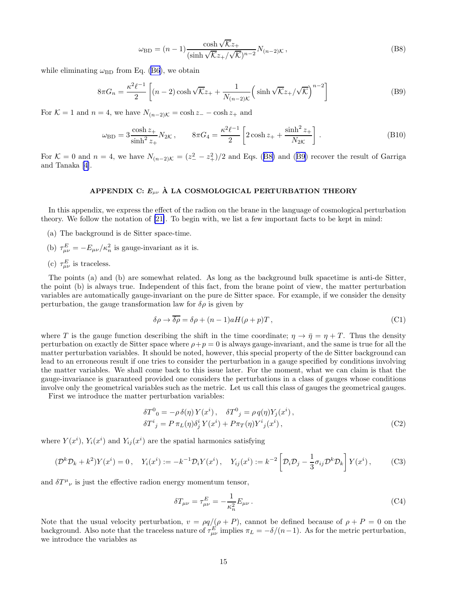$$
\omega_{\rm BD} = (n-1) \frac{\cosh \sqrt{\mathcal{K}} z_+}{(\sinh \sqrt{\mathcal{K}} z_+ / \sqrt{\mathcal{K}})^{n-2}} N_{(n-2)\mathcal{K}},
$$
\n(B8)

<span id="page-14-0"></span>while eliminating  $\omega_{\rm BD}$  from Eq. [\(B6](#page-13-0)), we obtain

$$
8\pi G_n = \frac{\kappa^2 \ell^{-1}}{2} \left[ (n-2) \cosh \sqrt{\mathcal{K}} z_+ + \frac{1}{N_{(n-2)\mathcal{K}}} \left( \sinh \sqrt{\mathcal{K}} z_+ / \sqrt{\mathcal{K}} \right)^{n-2} \right]
$$
(B9)

For  $\mathcal{K} = 1$  and  $n = 4$ , we have  $N_{(n-2)\mathcal{K}} = \cosh z_+ - \cosh z_+$  and

$$
\omega_{\rm BD} = 3 \frac{\cosh z_+}{\sinh^2 z_+} N_{2\mathcal{K}}, \qquad 8\pi G_4 = \frac{\kappa^2 \ell^{-1}}{2} \left[ 2 \cosh z_+ + \frac{\sinh^2 z_+}{N_{2\mathcal{K}}} \right]. \tag{B10}
$$

For  $\mathcal{K} = 0$  and  $n = 4$ , we have  $N_{(n-2)\mathcal{K}} = (z_{-}^2 - z_{+}^2)/2$  and Eqs. (B8) and (B9) recover the result of Garriga and Tanaka[[4](#page-16-0)].

# APPENDIX C:  $E_{\mu\nu}$  À LA COSMOLOGICAL PERTURBATION THEORY

In this appendix, we express the effect of the radion on the brane in the language of cosmological perturbation theory. We follow the notation of [\[21\]](#page-16-0). To begin with, we list a few important facts to be kept in mind:

- (a) The background is de Sitter space-time.
- (b)  $\tau_{\mu\nu}^{E} = -E_{\mu\nu}/\kappa_n^2$  is gauge-invariant as it is.
- (c)  $\tau_{\mu\nu}^{E}$  is traceless.

The points (a) and (b) are somewhat related. As long as the background bulk spacetime is anti-de Sitter, the point (b) is always true. Independent of this fact, from the brane point of view, the matter perturbation variables are automatically gauge-invariant on the pure de Sitter space. For example, if we consider the density perturbation, the gauge transformation law for  $\delta \rho$  is given by

$$
\delta \rho \to \overline{\delta \rho} = \delta \rho + (n-1)aH(\rho + p)T, \qquad (C1)
$$

where T is the gauge function describing the shift in the time coordinate;  $\eta \to \bar{\eta} = \eta + T$ . Thus the density perturbation on exactly de Sitter space where  $\rho + p = 0$  is always gauge-invariant, and the same is true for all the matter perturbation variables. It should be noted, however, this special property of the de Sitter background can lead to an erroneous result if one tries to consider the perturbation in a gauge specified by conditions involving the matter variables. We shall come back to this issue later. For the moment, what we can claim is that the gauge-invariance is guaranteed provided one considers the perturbations in a class of gauges whose conditions involve only the geometrical variables such as the metric. Let us call this class of gauges the geometrical gauges.

First we introduce the matter perturbation variables:

$$
\delta T^{0}{}_{0} = -\rho \,\delta(\eta) \, Y(x^{i}) \,, \quad \delta T^{0}{}_{j} = \rho \, q(\eta) Y_{j}(x^{i}) \,,
$$
  
\n
$$
\delta T^{i}{}_{j} = P \, \pi_{L}(\eta) \delta^{i}_{j} \, Y(x^{i}) + P \pi_{T}(\eta) Y^{i}{}_{j}(x^{i}) \,, \tag{C2}
$$

where  $Y(x^i)$ ,  $Y_i(x^i)$  and  $Y_{ij}(x^i)$  are the spatial harmonics satisfying

$$
(\mathcal{D}^k \mathcal{D}_k + k^2) Y(x^i) = 0, \quad Y_i(x^i) := -k^{-1} \mathcal{D}_i Y(x^i), \quad Y_{ij}(x^i) := k^{-2} \left[ \mathcal{D}_i \mathcal{D}_j - \frac{1}{3} \sigma_{ij} \mathcal{D}^k \mathcal{D}_k \right] Y(x^i), \tag{C3}
$$

and  $\delta T^{\mu}{}_{\nu}$  is just the effective radion energy momentum tensor,

$$
\delta T_{\mu\nu} = \tau_{\mu\nu}^E = -\frac{1}{\kappa_n^2} E_{\mu\nu} \,. \tag{C4}
$$

Note that the usual velocity perturbation,  $v = \rho q/(\rho + P)$ , cannot be defined because of  $\rho + P = 0$  on the background. Also note that the traceless nature of  $\tau_{\mu\nu}^E$  implies  $\pi_L = -\delta/(n-1)$ . As for the metric perturbation, we introduce the variables as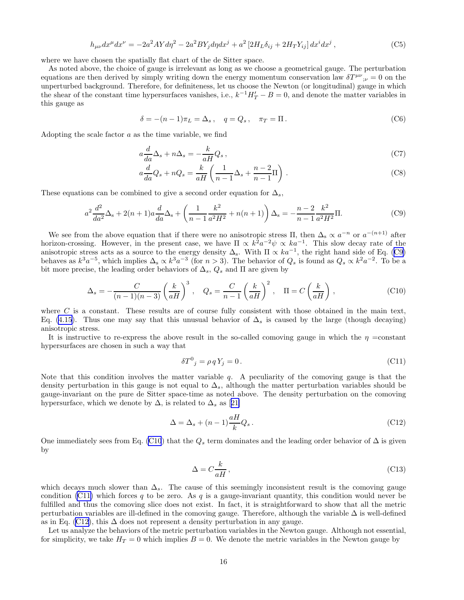$$
h_{\mu\nu}dx^{\mu}dx^{\nu} = -2a^2AYd\eta^2 - 2a^2BY_jd\eta dx^j + a^2[2H_L\delta_{ij} + 2H_TY_{ij}]dx^idx^j,
$$
\n(C5)

where we have chosen the spatially flat chart of the de Sitter space.

As noted above, the choice of gauge is irrelevant as long as we choose a geometrical gauge. The perturbation equations are then derived by simply writing down the energy momentum conservation law  $\delta T^{\mu\nu}{}_{;\nu} = 0$  on the unperturbed background. Therefore, for definiteness, let us choose the Newton (or longitudinal) gauge in which the shear of the constant time hypersurfaces vanishes, i.e.,  $k^{-1}H'_T - B = 0$ , and denote the matter variables in this gauge as

$$
\delta = -(n-1)\pi_L = \Delta_s, \quad q = Q_s, \quad \pi_T = \Pi.
$$
\n(C6)

Adopting the scale factor a as the time variable, we find

$$
a\frac{d}{da}\Delta_s + n\Delta_s = -\frac{k}{aH}Q_s\,,\tag{C7}
$$

$$
a\frac{d}{da}Q_s + nQ_s = \frac{k}{aH}\left(\frac{1}{n-1}\Delta_s + \frac{n-2}{n-1}\Pi\right). \tag{C8}
$$

These equations can be combined to give a second order equation for  $\Delta_s$ ,

$$
a^2 \frac{d^2}{da^2} \Delta_s + 2(n+1)a \frac{d}{da} \Delta_s + \left(\frac{1}{n-1} \frac{k^2}{a^2 H^2} + n(n+1)\right) \Delta_s = -\frac{n-2}{n-1} \frac{k^2}{a^2 H^2} \Pi.
$$
 (C9)

We see from the above equation that if there were no anisotropic stress  $\Pi$ , then  $\Delta_s \propto a^{-n}$  or  $a^{-(n+1)}$  after horizon-crossing. However, in the present case, we have  $\Pi \propto k^2 a^{-2} \psi \propto ka^{-1}$ . This slow decay rate of the anisotropic stress acts as a source to the energy density  $\Delta_s$ . With  $\Pi \propto ka^{-1}$ , the right hand side of Eq. (C9) behaves as  $k^3a^{-5}$ , which implies  $\Delta_s \propto k^3a^{-3}$  (for  $n > 3$ ). The behavior of  $Q_s$  is found as  $Q_s \propto k^2a^{-2}$ . To be a bit more precise, the leading order behaviors of  $\Delta_s$ ,  $Q_s$  and  $\Pi$  are given by

$$
\Delta_s = -\frac{C}{(n-1)(n-3)} \left(\frac{k}{aH}\right)^3, \quad Q_s = \frac{C}{n-1} \left(\frac{k}{aH}\right)^2, \quad \Pi = C\left(\frac{k}{aH}\right),\tag{C10}
$$

where  $C$  is a constant. These results are of course fully consistent with those obtained in the main text, Eq. [\(4.15](#page-7-0)). Thus one may say that this unusual behavior of  $\Delta_s$  is caused by the large (though decaying) anisotropic stress.

It is instructive to re-express the above result in the so-called comoving gauge in which the  $\eta$  =constant hypersurfaces are chosen in such a way that

$$
\delta T^0{}_j = \rho \, q \, Y_j = 0 \,. \tag{C11}
$$

Note that this condition involves the matter variable  $q$ . A peculiarity of the comoving gauge is that the density perturbation in this gauge is not equal to  $\Delta_s$ , although the matter perturbation variables should be gauge-invariant on the pure de Sitter space-time as noted above. The density perturbation on the comoving hypersurface,which we denote by  $\Delta$ , is related to  $\Delta_s$  as [[21\]](#page-16-0)

$$
\Delta = \Delta_s + (n-1)\frac{aH}{k}Q_s \,. \tag{C12}
$$

One immediately sees from Eq. (C10) that the  $Q_s$  term dominates and the leading order behavior of  $\Delta$  is given by

$$
\Delta = C \frac{k}{aH},\tag{C13}
$$

which decays much slower than  $\Delta_s$ . The cause of this seemingly inconsistent result is the comoving gauge condition (C11) which forces q to be zero. As q is a gauge-invariant quantity, this condition would never be fulfilled and thus the comoving slice does not exist. In fact, it is straightforward to show that all the metric perturbation variables are ill-defined in the comoving gauge. Therefore, although the variable ∆ is well-defined as in Eq. (C12), this  $\Delta$  does not represent a density perturbation in any gauge.

Let us analyze the behaviors of the metric perturbation variables in the Newton gauge. Although not essential, for simplicity, we take  $H_T = 0$  which implies  $B = 0$ . We denote the metric variables in the Newton gauge by